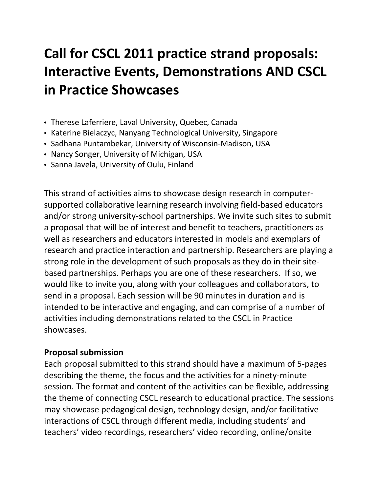## **Call for CSCL 2011 practice strand proposals: Interactive Events, Demonstrations AND CSCL in Practice Showcases**

- Therese Laferriere, Laval University, Quebec, Canada
- Katerine Bielaczyc, Nanyang Technological University, Singapore
- Sadhana Puntambekar, University of Wisconsin-Madison, USA
- Nancy Songer, University of Michigan, USA
- Sanna Javela, University of Oulu, Finland

This strand of activities aims to showcase design research in computersupported collaborative learning research involving field-based educators and/or strong university-school partnerships. We invite such sites to submit a proposal that will be of interest and benefit to teachers, practitioners as well as researchers and educators interested in models and exemplars of research and practice interaction and partnership. Researchers are playing a strong role in the development of such proposals as they do in their sitebased partnerships. Perhaps you are one of these researchers. If so, we would like to invite you, along with your colleagues and collaborators, to send in a proposal. Each session will be 90 minutes in duration and is intended to be interactive and engaging, and can comprise of a number of activities including demonstrations related to the CSCL in Practice showcases.

## **Proposal submission**

Each proposal submitted to this strand should have a maximum of 5-pages describing the theme, the focus and the activities for a ninety-minute session. The format and content of the activities can be flexible, addressing the theme of connecting CSCL research to educational practice. The sessions may showcase pedagogical design, technology design, and/or facilitative interactions of CSCL through different media, including students' and teachers' video recordings, researchers' video recording, online/onsite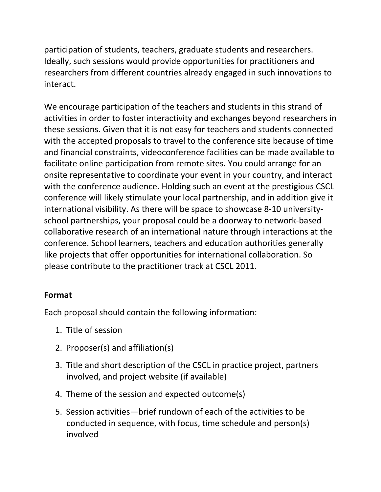participation of students, teachers, graduate students and researchers. Ideally, such sessions would provide opportunities for practitioners and researchers from different countries already engaged in such innovations to interact.

We encourage participation of the teachers and students in this strand of activities in order to foster interactivity and exchanges beyond researchers in these sessions. Given that it is not easy for teachers and students connected with the accepted proposals to travel to the conference site because of time and financial constraints, videoconference facilities can be made available to facilitate online participation from remote sites. You could arrange for an onsite representative to coordinate your event in your country, and interact with the conference audience. Holding such an event at the prestigious CSCL conference will likely stimulate your local partnership, and in addition give it international visibility. As there will be space to showcase 8-10 universityschool partnerships, your proposal could be a doorway to network-based collaborative research of an international nature through interactions at the conference. School learners, teachers and education authorities generally like projects that offer opportunities for international collaboration. So please contribute to the practitioner track at CSCL 2011.

## **Format**

Each proposal should contain the following information:

- 1. Title of session
- 2. Proposer(s) and affiliation(s)
- 3. Title and short description of the CSCL in practice project, partners involved, and project website (if available)
- 4. Theme of the session and expected outcome(s)
- 5. Session activities—brief rundown of each of the activities to be conducted in sequence, with focus, time schedule and person(s) involved